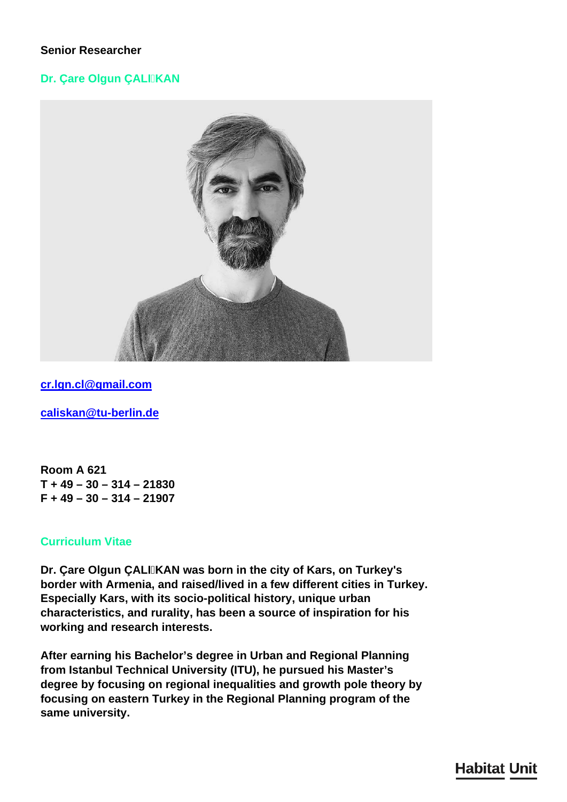# **Senior Researcher**

# **Dr. Çare Olgun ÇALIIKAN**



**[cr.lgn.cl@gmail.com](mailto:cr.lgn.cl@gmail.com)**

**[caliskan@tu-berlin.de](mailto:caliskan@tu-berlin.de)**

**Room A 621 T + 49 – 30 – 314 – 21830 F + 49 – 30 – 314 – 21907**

## **Curriculum Vitae**

**Dr. Çare Olgun ÇALIŞKAN was born in the city of Kars, on Turkey's border with Armenia, and raised/lived in a few different cities in Turkey. Especially Kars, with its socio-political history, unique urban characteristics, and rurality, has been a source of inspiration for his working and research interests.**

**After earning his Bachelor's degree in Urban and Regional Planning from Istanbul Technical University (ITU), he pursued his Master's degree by focusing on regional inequalities and growth pole theory by focusing on eastern Turkey in the Regional Planning program of the same university.**

# **Habitat Unit**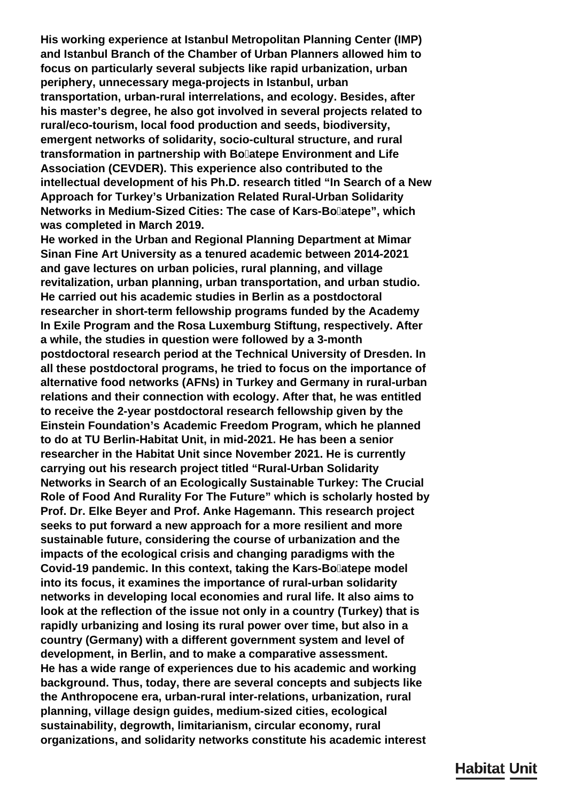**His working experience at Istanbul Metropolitan Planning Center (IMP) and Istanbul Branch of the Chamber of Urban Planners allowed him to focus on particularly several subjects like rapid urbanization, urban periphery, unnecessary mega-projects in Istanbul, urban transportation, urban-rural interrelations, and ecology. Besides, after his master's degree, he also got involved in several projects related to rural/eco-tourism, local food production and seeds, biodiversity, emergent networks of solidarity, socio-cultural structure, and rural transformation in partnership with Boğatepe Environment and Life Association (CEVDER). This experience also contributed to the intellectual development of his Ph.D. research titled "In Search of a New Approach for Turkey's Urbanization Related Rural-Urban Solidarity Networks in Medium-Sized Cities: The case of Kars-Boğatepe", which was completed in March 2019.**

**He worked in the Urban and Regional Planning Department at Mimar Sinan Fine Art University as a tenured academic between 2014-2021 and gave lectures on urban policies, rural planning, and village revitalization, urban planning, urban transportation, and urban studio. He carried out his academic studies in Berlin as a postdoctoral researcher in short-term fellowship programs funded by the Academy In Exile Program and the Rosa Luxemburg Stiftung, respectively. After a while, the studies in question were followed by a 3-month postdoctoral research period at the Technical University of Dresden. In all these postdoctoral programs, he tried to focus on the importance of alternative food networks (AFNs) in Turkey and Germany in rural-urban relations and their connection with ecology. After that, he was entitled to receive the 2-year postdoctoral research fellowship given by the Einstein Foundation's Academic Freedom Program, which he planned to do at TU Berlin-Habitat Unit, in mid-2021. He has been a senior researcher in the Habitat Unit since November 2021. He is currently carrying out his research project titled "Rural-Urban Solidarity Networks in Search of an Ecologically Sustainable Turkey: The Crucial Role of Food And Rurality For The Future" which is scholarly hosted by Prof. Dr. Elke Beyer and Prof. Anke Hagemann. This research project seeks to put forward a new approach for a more resilient and more sustainable future, considering the course of urbanization and the impacts of the ecological crisis and changing paradigms with the Covid-19 pandemic. In this context, taking the Kars-Boğatepe model into its focus, it examines the importance of rural-urban solidarity networks in developing local economies and rural life. It also aims to look at the reflection of the issue not only in a country (Turkey) that is rapidly urbanizing and losing its rural power over time, but also in a country (Germany) with a different government system and level of development, in Berlin, and to make a comparative assessment. He has a wide range of experiences due to his academic and working background. Thus, today, there are several concepts and subjects like the Anthropocene era, urban-rural inter-relations, urbanization, rural planning, village design guides, medium-sized cities, ecological sustainability, degrowth, limitarianism, circular economy, rural organizations, and solidarity networks constitute his academic interest**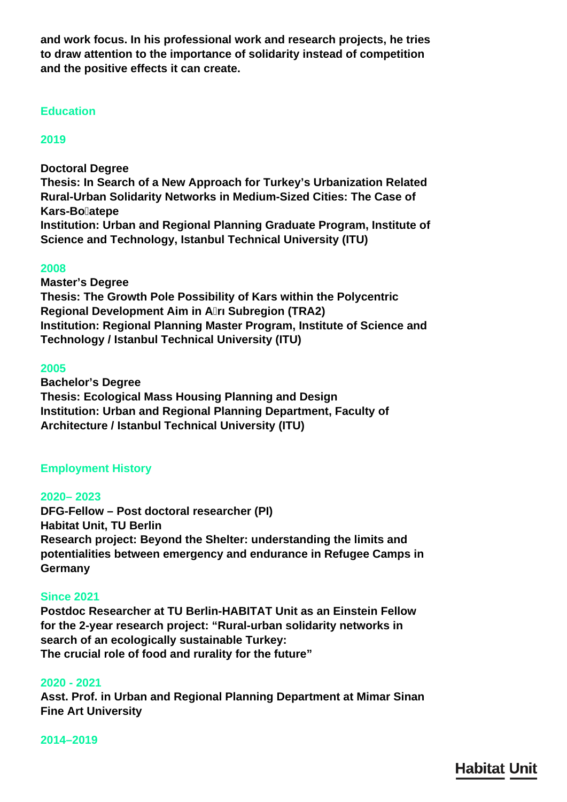**and work focus. In his professional work and research projects, he tries to draw attention to the importance of solidarity instead of competition and the positive effects it can create.**

# **Education**

## **2019**

**Doctoral Degree**

**Thesis: In Search of a New Approach for Turkey's Urbanization Related Rural-Urban Solidarity Networks in Medium-Sized Cities: The Case of Kars-Boğatepe Institution: Urban and Regional Planning Graduate Program, Institute of Science and Technology, Istanbul Technical University (ITU)**

### **2008**

**Master's Degree Thesis: The Growth Pole Possibility of Kars within the Polycentric Regional Development Aim in Ağrı Subregion (TRA2) Institution: Regional Planning Master Program, Institute of Science and Technology / Istanbul Technical University (ITU)**

### **2005**

**Bachelor's Degree Thesis: Ecological Mass Housing Planning and Design Institution: Urban and Regional Planning Department, Faculty of Architecture / Istanbul Technical University (ITU)**

### **Employment History**

### **2020– 2023**

**DFG-Fellow – Post doctoral researcher (PI) Habitat Unit, TU Berlin Research project: Beyond the Shelter: understanding the limits and potentialities between emergency and endurance in Refugee Camps in Germany**

### **Since 2021**

**Postdoc Researcher at TU Berlin-HABITAT Unit as an Einstein Fellow for the 2-year research project: "Rural-urban solidarity networks in search of an ecologically sustainable Turkey: The crucial role of food and rurality for the future"**

#### **2020 - 2021**

**Asst. Prof. in Urban and Regional Planning Department at Mimar Sinan Fine Art University**

#### **2014–2019**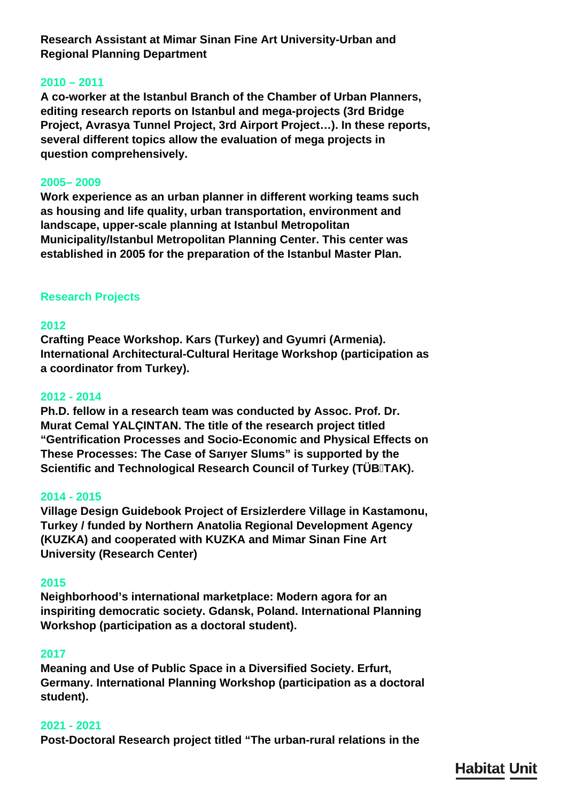**Research Assistant at Mimar Sinan Fine Art University-Urban and Regional Planning Department**

## **2010 – 2011**

**A co-worker at the Istanbul Branch of the Chamber of Urban Planners, editing research reports on Istanbul and mega-projects (3rd Bridge Project, Avrasya Tunnel Project, 3rd Airport Project…). In these reports, several different topics allow the evaluation of mega projects in question comprehensively.**

### **2005– 2009**

**Work experience as an urban planner in different working teams such as housing and life quality, urban transportation, environment and landscape, upper-scale planning at Istanbul Metropolitan Municipality/Istanbul Metropolitan Planning Center. This center was established in 2005 for the preparation of the Istanbul Master Plan.**

### **Research Projects**

#### **2012**

**Crafting Peace Workshop. Kars (Turkey) and Gyumri (Armenia). International Architectural-Cultural Heritage Workshop (participation as a coordinator from Turkey).**

#### **2012 - 2014**

**Ph.D. fellow in a research team was conducted by Assoc. Prof. Dr. Murat Cemal YALÇINTAN. The title of the research project titled "Gentrification Processes and Socio-Economic and Physical Effects on These Processes: The Case of Sarıyer Slums" is supported by the Scientific and Technological Research Council of Turkey (TÜBITAK).** 

### **2014 - 2015**

**Village Design Guidebook Project of Ersizlerdere Village in Kastamonu, Turkey / funded by Northern Anatolia Regional Development Agency (KUZKA) and cooperated with KUZKA and Mimar Sinan Fine Art University (Research Center)**

### **2015**

**Neighborhood's international marketplace: Modern agora for an inspiriting democratic society. Gdansk, Poland. International Planning Workshop (participation as a doctoral student).**

### **2017**

**Meaning and Use of Public Space in a Diversified Society. Erfurt, Germany. International Planning Workshop (participation as a doctoral student).**

#### **2021 - 2021**

**Post-Doctoral Research project titled "The urban-rural relations in the**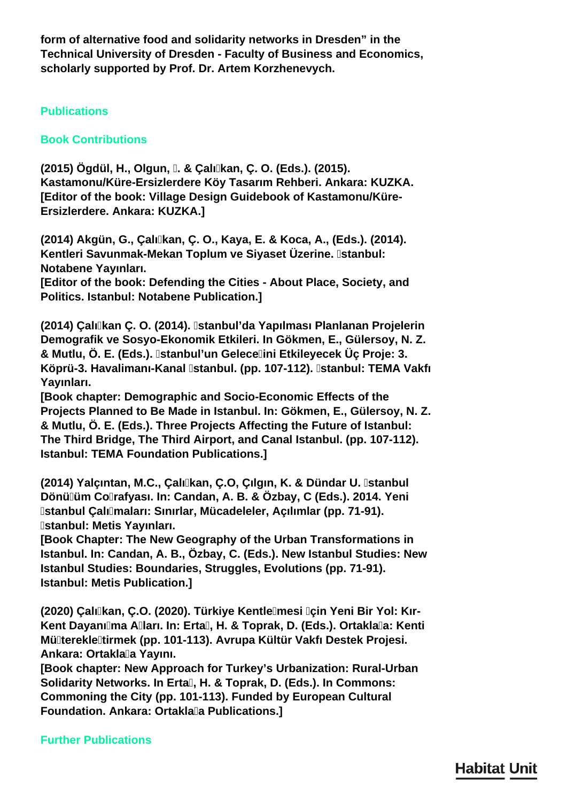**form of alternative food and solidarity networks in Dresden" in the Technical University of Dresden - Faculty of Business and Economics, scholarly supported by Prof. Dr. Artem Korzhenevych.**

## **Publications**

## **Book Contributions**

**(2015) Ögdül, H., Olgun, İ. & Çalışkan, Ç. O. (Eds.). (2015). Kastamonu/Küre-Ersizlerdere Köy Tasarım Rehberi. Ankara: KUZKA. [Editor of the book: Village Design Guidebook of Kastamonu/Küre-Ersizlerdere. Ankara: KUZKA.]**

**(2014) Akgün, G., Çalışkan, Ç. O., Kaya, E. & Koca, A., (Eds.). (2014). Kentleri Savunmak-Mekan Toplum ve Siyaset Üzerine. İstanbul: Notabene Yayınları.**

**[Editor of the book: Defending the Cities - About Place, Society, and Politics. Istanbul: Notabene Publication.]** 

**(2014) Çalışkan Ç. O. (2014). İstanbul'da Yapılması Planlanan Projelerin Demografik ve Sosyo-Ekonomik Etkileri. In Gökmen, E., Gülersoy, N. Z. & Mutlu, Ö. E. (Eds.). İstanbul'un Geleceğini Etkileyecek Üç Proje: 3. Köprü-3. Havalimanı-Kanal İstanbul. (pp. 107-112). İstanbul: TEMA Vakfı Yayınları.**

**[Book chapter: Demographic and Socio-Economic Effects of the Projects Planned to Be Made in Istanbul. In: Gökmen, E., Gülersoy, N. Z. & Mutlu, Ö. E. (Eds.). Three Projects Affecting the Future of Istanbul: The Third Bridge, The Third Airport, and Canal Istanbul. (pp. 107-112). Istanbul: TEMA Foundation Publications.]**

**(2014) Yalçıntan, M.C., Çalışkan, Ç.O, Çılgın, K. & Dündar U. İstanbul Dönüşüm Coğrafyası. In: Candan, A. B. & Özbay, C (Eds.). 2014. Yeni İstanbul Çalışmaları: Sınırlar, Mücadeleler, Açılımlar (pp. 71-91). İstanbul: Metis Yayınları.**

**[Book Chapter: The New Geography of the Urban Transformations in Istanbul. In: Candan, A. B., Özbay, C. (Eds.). New Istanbul Studies: New Istanbul Studies: Boundaries, Struggles, Evolutions (pp. 71-91). Istanbul: Metis Publication.]**

**(2020) Calı kan, C.O. (2020). Türkiye Kentle Imesi Icin Yeni Bir Yol: Kır-**Kent Dayanıllma Alları. In: Ertall, H. & Toprak, D. (Eds.). Ortaklalla: Kenti **Müşterekleştirmek (pp. 101-113). Avrupa Kültür Vakfı Destek Projesi.** Ankara: Ortakla**la Yayını**.

**[Book chapter: New Approach for Turkey's Urbanization: Rural-Urban** Solidarity Networks. In Erta<sup>n</sup>, H. & Toprak, D. (Eds.). In Commons: **Commoning the City (pp. 101-113). Funded by European Cultural Foundation. Ankara: Ortaklala Publications.]** 

#### **Further Publications**

# **Habitat Unit**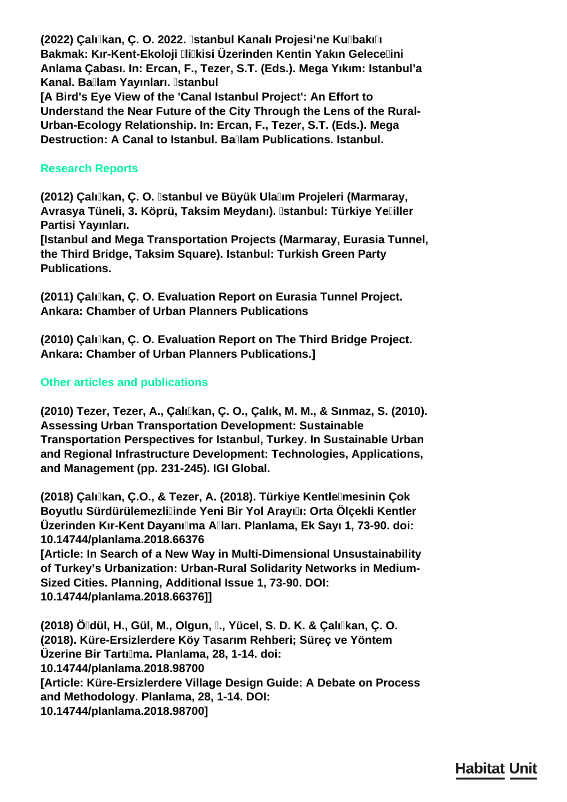**(2022) Çalılkan, Ç. O. 2022. Istanbul Kanalı Projesi'ne Kullbakıllı Bakmak: Kır-Kent-Ekoloji Ililkisi Üzerinden Kentin Yakın Gelecelini Anlama Çabası. In: Ercan, F., Tezer, S.T. (Eds.). Mega Yıkım: Istanbul'a Kanal. Bağlam Yayınları. İstanbul**

**[A Bird's Eye View of the 'Canal Istanbul Project': An Effort to Understand the Near Future of the City Through the Lens of the Rural-Urban-Ecology Relationship. In: Ercan, F., Tezer, S.T. (Eds.). Mega Destruction: A Canal to Istanbul. Bağlam Publications. Istanbul.**

## **Research Reports**

**(2012) Çalışkan, Ç. O. İstanbul ve Büyük Ulaşım Projeleri (Marmaray, Avrasya Tüneli, 3. Köprü, Taksim Meydanı). İstanbul: Türkiye Yeşiller Partisi Yayınları.**

**[Istanbul and Mega Transportation Projects (Marmaray, Eurasia Tunnel, the Third Bridge, Taksim Square). Istanbul: Turkish Green Party Publications.**

**(2011) Çalışkan, Ç. O. Evaluation Report on Eurasia Tunnel Project. Ankara: Chamber of Urban Planners Publications**

**(2010) Çalışkan, Ç. O. Evaluation Report on The Third Bridge Project. Ankara: Chamber of Urban Planners Publications.]**

# **Other articles and publications**

**(2010) Tezer, Tezer, A., Çalışkan, Ç. O., Çalık, M. M., & Sınmaz, S. (2010). Assessing Urban Transportation Development: Sustainable Transportation Perspectives for Istanbul, Turkey. In Sustainable Urban and Regional Infrastructure Development: Technologies, Applications, and Management (pp. 231-245). IGI Global.**

**(2018) Çalışkan, Ç.O., & Tezer, A. (2018). Türkiye Kentleşmesinin Çok Boyutlu Sürdürülemezliğinde Yeni Bir Yol Arayışı: Orta Ölçekli Kentler Üzerinden Kır-Kent Dayanışma Ağları. Planlama, Ek Sayı 1, 73-90. doi: 10.14744/planlama.2018.66376 [Article: In Search of a New Way in Multi-Dimensional Unsustainability**

**of Turkey's Urbanization: Urban-Rural Solidarity Networks in Medium-Sized Cities. Planning, Additional Issue 1, 73-90. DOI: 10.14744/planlama.2018.66376]]**

**(2018) Öğdül, H., Gül, M., Olgun, İ., Yücel, S. D. K. & Çalışkan, Ç. O. (2018). Küre-Ersizlerdere Köy Tasarım Rehberi; Süreç ve Yöntem Üzerine Bir Tartışma. Planlama, 28, 1-14. doi: 10.14744/planlama.2018.98700 [Article: Küre-Ersizlerdere Village Design Guide: A Debate on Process and Methodology. Planlama, 28, 1-14. DOI: 10.14744/planlama.2018.98700]**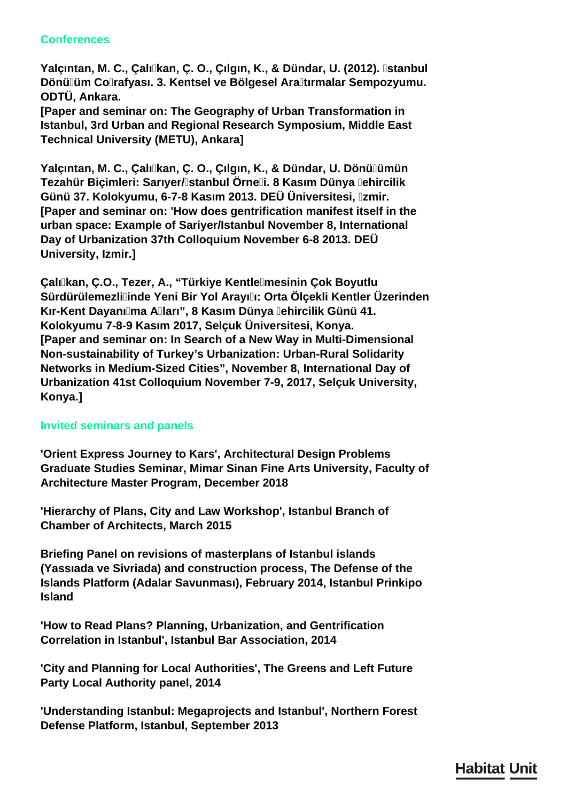### **Conferences**

Yalçıntan, M. C., Çalı<sup>nkan, C. O., Çılgın, K., & Dündar, U. (2012). **Istanbul**</sup> Dönülüm Collrafyası. 3. Kentsel ve Bölgesel Aralltırmalar Sempozyumu. **ODTÜ, Ankara.**

**[Paper and seminar on: The Geography of Urban Transformation in Istanbul, 3rd Urban and Regional Research Symposium, Middle East Technical University (METU), Ankara]**

Yalçıntan, M. C., Çalı<sup>nkan, Ç. O., Çılgın, K., & Dündar, U. Dönülümün</sup> Tezahür Biçimleri: Sarıyer/*Istanbul Örneli. 8 Kasım Dünya lehircilik* **Günü 37. Kolokyumu, 6-7-8 Kasım 2013. DEÜ Üniversitesi, İzmir. [Paper and seminar on: 'How does gentrification manifest itself in the urban space: Example of Sariyer/Istanbul November 8, International Day of Urbanization 37th Colloquium November 6-8 2013. DEÜ University, Izmir.]**

**Çalışkan, Ç.O., Tezer, A., "Türkiye Kentleşmesinin Çok Boyutlu Sürdürülemezliğinde Yeni Bir Yol Arayışı: Orta Ölçekli Kentler Üzerinden Kır-Kent Dayanışma Ağları", 8 Kasım Dünya Şehircilik Günü 41. Kolokyumu 7-8-9 Kasım 2017, Selçuk Üniversitesi, Konya. [Paper and seminar on: In Search of a New Way in Multi-Dimensional Non-sustainability of Turkey's Urbanization: Urban-Rural Solidarity Networks in Medium-Sized Cities", November 8, International Day of Urbanization 41st Colloquium November 7-9, 2017, Selçuk University, Konya.]**

# **Invited seminars and panels**

**'Orient Express Journey to Kars', Architectural Design Problems Graduate Studies Seminar, Mimar Sinan Fine Arts University, Faculty of Architecture Master Program, December 2018**

**'Hierarchy of Plans, City and Law Workshop', Istanbul Branch of Chamber of Architects, March 2015**

**Briefing Panel on revisions of masterplans of Istanbul islands (Yassıada ve Sivriada) and construction process, The Defense of the Islands Platform (Adalar Savunması), February 2014, Istanbul Prinkipo Island**

**'How to Read Plans? Planning, Urbanization, and Gentrification Correlation in Istanbul', Istanbul Bar Association, 2014**

**'City and Planning for Local Authorities', The Greens and Left Future Party Local Authority panel, 2014**

**'Understanding Istanbul: Megaprojects and Istanbul', Northern Forest Defense Platform, Istanbul, September 2013**